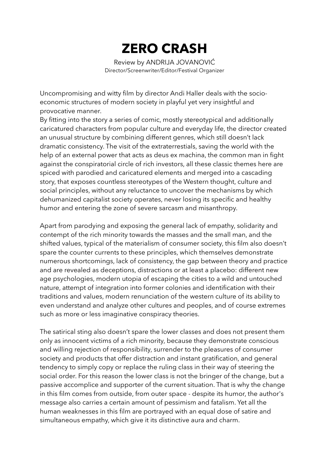## **ZERO CRASH**

Review by ANDRIJA JOVANOVIĆ Director/Screenwriter/Editor/Festival Organizer

Uncompromising and witty film by director Andi Haller deals with the socioeconomic structures of modern society in playful yet very insightful and provocative manner.

By fitting into the story a series of comic, mostly stereotypical and additionally caricatured characters from popular culture and everyday life, the director created an unusual structure by combining different genres, which still doesn't lack dramatic consistency. The visit of the extraterrestials, saving the world with the help of an external power that acts as deus ex machina, the common man in fight against the conspiratorial circle of rich investors, all these classic themes here are spiced with parodied and caricatured elements and merged into a cascading story, that exposes countless stereotypes of the Western thought, culture and social principles, without any reluctance to uncover the mechanisms by which dehumanized capitalist society operates, never losing its specific and healthy humor and entering the zone of severe sarcasm and misanthropy.

Apart from parodying and exposing the general lack of empathy, solidarity and contempt of the rich minority towards the masses and the small man, and the shifted values, typical of the materialism of consumer society, this film also doesn't spare the counter currents to these principles, which themselves demonstrate numerous shortcomings, lack of consistency, the gap between theory and practice and are revealed as deceptions, distractions or at least a placebo: different new age psychologies, modern utopia of escaping the cities to a wild and untouched nature, attempt of integration into former colonies and identification with their traditions and values, modern renunciation of the western culture of its ability to even understand and analyze other cultures and peoples, and of course extremes such as more or less imaginative conspiracy theories.

The satirical sting also doesn't spare the lower classes and does not present them only as innocent victims of a rich minority, because they demonstrate conscious and willing rejection of responsibility, surrender to the pleasures of consumer society and products that offer distraction and instant gratification, and general tendency to simply copy or replace the ruling class in their way of steering the social order. For this reason the lower class is not the bringer of the change, but a passive accomplice and supporter of the current situation. That is why the change in this film comes from outside, from outer space - despite its humor, the author's message also carries a certain amount of pessimism and fatalism. Yet all the human weaknesses in this film are portrayed with an equal dose of satire and simultaneous empathy, which give it its distinctive aura and charm.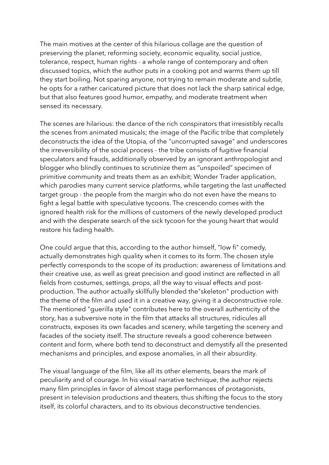The main motives at the center of this hilarious collage are the question of preserving the planet, reforming society, economic equality, social justice, tolerance, respect, human rights - a whole range of contemporary and often discussed topics, which the author puts in a cooking pot and warms them up till they start boiling. Not sparing anyone, not trying to remain moderate and subtle, he opts for a rather caricatured picture that does not lack the sharp satirical edge, but that also features good humor, empathy, and moderate treatment when sensed its necessary.

The scenes are hilarious: the dance of the rich conspirators that irresistibly recalls the scenes from animated musicals; the image of the Pacific tribe that completely deconstructs the idea of the Utopia, of the "uncorrupted savage" and underscores the irreversibility of the social process - the tribe consists of fugitive financial speculators and frauds, additionally observed by an ignorant anthropologist and blogger who blindly continues to scrutinize them as "unspoiled" specimen of primitive community and treats them as an exhibit; Wonder Trader application, which parodies many current service platforms, while targeting the last unaffected target group - the people from the margin who do not even have the means to fight a legal battle with speculative tycoons. The crescendo comes with the ignored health risk for the millions of customers of the newly developed product and with the desperate search of the sick tycoon for the young heart that would restore his fading health.

One could argue that this, according to the author himself, "low fi" comedy, actually demonstrates high quality when it comes to its form. The chosen style perfectly corresponds to the scope of its production: awareness of limitations and their creative use, as well as great precision and good instinct are reflected in all fields from costumes, settings, props, all the way to visual effects and postproduction. The author actually skillfully blended the"skeleton" production with the theme of the film and used it in a creative way, giving it a deconstructive role. The mentioned "guerilla style" contributes here to the overall authenticity of the story, has a subversive note in the film that attacks all structures, ridicules all constructs, exposes its own facades and scenery, while targeting the scenery and facades of the society itself. The structure reveals a good coherence between content and form, where both tend to deconstruct and demystify all the presented mechanisms and principles, and expose anomalies, in all their absurdity.

The visual language of the film, like all its other elements, bears the mark of peculiarity and of courage. In his visual narrative technique, the author rejects many film principles in favor of almost stage performances of protagonists, present in television productions and theaters, thus shifting the focus to the story itself, its colorful characters, and to its obvious deconstructive tendencies.